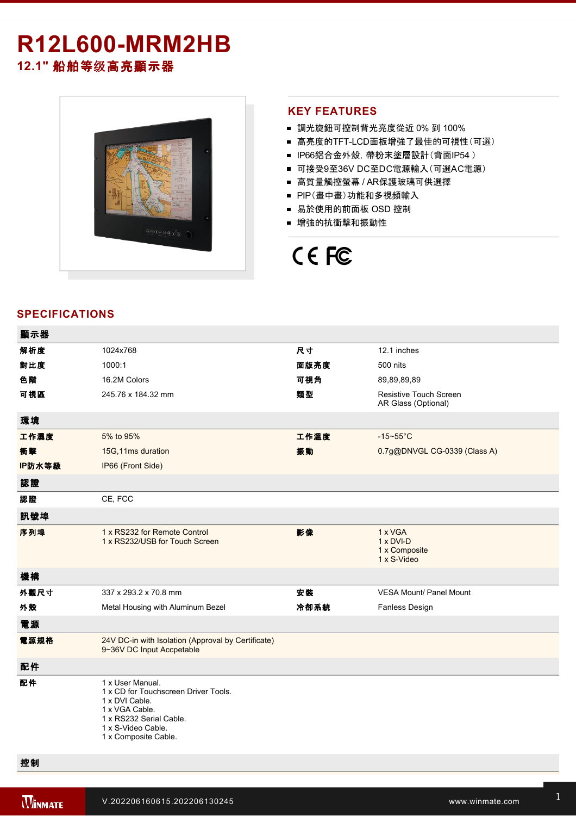# **R12L600-MRM2HB**

**12.1"** 船舶等级高亮顯示器



#### **KEY FEATURES**

- 調光旋鈕可控制背光亮度從近 0% 到 100%
- 高亮度的TFT-LCD面板增強了最佳的可視性(可選)
- IP66鋁合金外殼, 帶粉末塗層設計(背面IP54)
- 可接受9至36V DC至DC電源輸入(可選AC電源)
- 高質量觸控螢幕 / AR保護玻璃可供選擇
- PIP(畫中畫)功能和多視頻輸入
- 易於使用的前面板 OSD 控制
- 增強的抗衝擊和振動性

## CE FC

#### **SPECIFICATIONS**

| 顯示器    |                                                                                                                                                                       |      |                                                             |
|--------|-----------------------------------------------------------------------------------------------------------------------------------------------------------------------|------|-------------------------------------------------------------|
| 解析度    | 1024x768                                                                                                                                                              | 尺寸   | 12.1 inches                                                 |
| 對比度    | 1000:1                                                                                                                                                                | 面版亮度 | 500 nits                                                    |
| 色階     | 16.2M Colors                                                                                                                                                          | 可視角  | 89,89,89,89                                                 |
| 可視區    | 245.76 x 184.32 mm                                                                                                                                                    | 類型   | Resistive Touch Screen<br>AR Glass (Optional)               |
| 環境     |                                                                                                                                                                       |      |                                                             |
| 工作濕度   | 5% to 95%                                                                                                                                                             | 工作溫度 | $-15 - 55$ °C                                               |
| 衝擊     | 15G,11ms duration                                                                                                                                                     | 振動   | 0.7g@DNVGL CG-0339 (Class A)                                |
| IP防水等級 | IP66 (Front Side)                                                                                                                                                     |      |                                                             |
| 認證     |                                                                                                                                                                       |      |                                                             |
| 認證     | CE, FCC                                                                                                                                                               |      |                                                             |
| 訊號埠    |                                                                                                                                                                       |      |                                                             |
| 序列埠    | 1 x RS232 for Remote Control<br>1 x RS232/USB for Touch Screen                                                                                                        | 影像   | 1 x VGA<br>$1 \times DVI-D$<br>1 x Composite<br>1 x S-Video |
| 機構     |                                                                                                                                                                       |      |                                                             |
| 外觀尺寸   | 337 x 293.2 x 70.8 mm                                                                                                                                                 | 安装   | <b>VESA Mount/ Panel Mount</b>                              |
| 外殼     | Metal Housing with Aluminum Bezel                                                                                                                                     | 冷卻系統 | <b>Fanless Design</b>                                       |
| 電源     |                                                                                                                                                                       |      |                                                             |
| 電源規格   | 24V DC-in with Isolation (Approval by Certificate)<br>9~36V DC Input Accpetable                                                                                       |      |                                                             |
| 配件     |                                                                                                                                                                       |      |                                                             |
| 配件     | 1 x User Manual.<br>1 x CD for Touchscreen Driver Tools.<br>1 x DVI Cable.<br>1 x VGA Cable.<br>1 x RS232 Serial Cable.<br>1 x S-Video Cable.<br>1 x Composite Cable. |      |                                                             |

控制

Esc/PIP

Right/Source